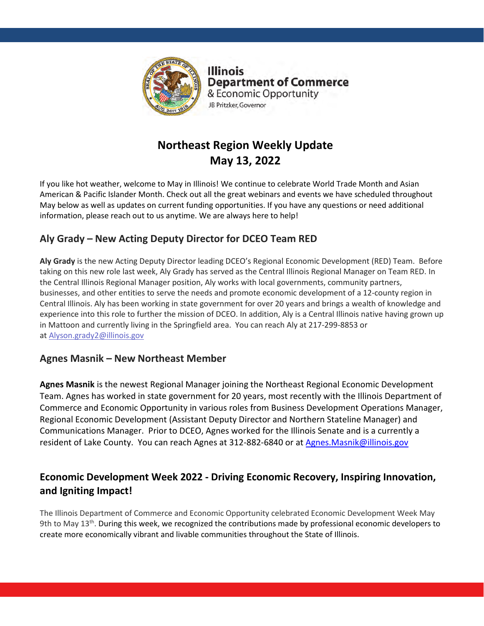

**Illinois Department of Commerce** & Economic Opportunity JB Pritzker, Governor

# **Northeast Region Weekly Update May 13, 2022**

If you like hot weather, welcome to May in Illinois! We continue to celebrate World Trade Month and Asian American & Pacific Islander Month. Check out all the great webinars and events we have scheduled throughout May below as well as updates on current funding opportunities. If you have any questions or need additional information, please reach out to us anytime. We are always here to help!

# **Aly Grady – New Acting Deputy Director for DCEO Team RED**

**Aly Grady** is the new Acting Deputy Director leading DCEO's Regional Economic Development (RED) Team. Before taking on this new role last week, Aly Grady has served as the Central Illinois Regional Manager on Team RED. In the Central Illinois Regional Manager position, Aly works with local governments, community partners, businesses, and other entities to serve the needs and promote economic development of a 12-county region in Central Illinois. Aly has been working in state government for over 20 years and brings a wealth of knowledge and experience into this role to further the mission of DCEO. In addition, Aly is a Central Illinois native having grown up in Mattoon and currently living in the Springfield area. You can reach Aly at 217-299-8853 or at [Alyson.grady2@illinois.gov](mailto:Alyson.grady2@illinois.gov)

## **Agnes Masnik – New Northeast Member**

**Agnes Masnik** is the newest Regional Manager joining the Northeast Regional Economic Development Team. Agnes has worked in state government for 20 years, most recently with the Illinois Department of Commerce and Economic Opportunity in various roles from Business Development Operations Manager, Regional Economic Development (Assistant Deputy Director and Northern Stateline Manager) and Communications Manager. Prior to DCEO, Agnes worked for the Illinois Senate and is a currently a resident of Lake County. You can reach Agnes at 312-882-6840 or at Agnes. Masnik@illinois.gov

# **Economic Development Week 2022 - Driving Economic Recovery, Inspiring Innovation, and Igniting Impact!**

The Illinois Department of Commerce and Economic Opportunity celebrated Economic Development Week May 9th to May 13th. During this week, we recognized the contributions made by professional economic developers to create more economically vibrant and livable communities throughout the State of Illinois.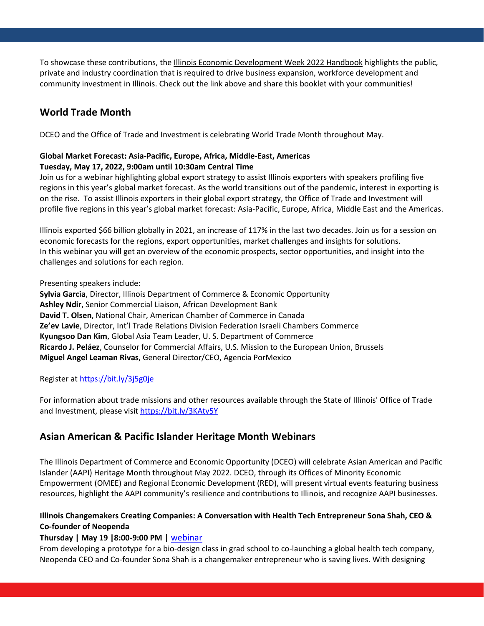To showcase these contributions, the [Illinois Economic Development Week 2022 Handbook](https://www2.illinois.gov/dceo/SmallBizAssistance/RegionSpecificAssistance/Documents/22_EconDevWeek_051222_Final.pdf) highlights the public, private and industry coordination that is required to drive business expansion, workforce development and community investment in Illinois. Check out the link above and share this booklet with your communities!

## **World Trade Month**

DCEO and the Office of Trade and Investment is celebrating World Trade Month throughout May.

### **Global Market Forecast: Asia-Pacific, Europe, Africa, Middle-East, Americas Tuesday, May 17, 2022, 9:00am until 10:30am Central Time**

Join us for a webinar highlighting global export strategy to assist Illinois exporters with speakers profiling five regions in this year's global market forecast. As the world transitions out of the pandemic, interest in exporting is on the rise. To assist Illinois exporters in their global export strategy, the Office of Trade and Investment will profile five regions in this year's global market forecast: Asia-Pacific, Europe, Africa, Middle East and the Americas.

Illinois exported \$66 billion globally in 2021, an increase of 117% in the last two decades. Join us for a session on economic forecasts for the regions, export opportunities, market challenges and insights for solutions. In this webinar you will get an overview of the economic prospects, sector opportunities, and insight into the challenges and solutions for each region.

Presenting speakers include:

**Sylvia Garcia**, Director, Illinois Department of Commerce & Economic Opportunity **Ashley Ndir**, Senior Commercial Liaison, African Development Bank **David T. Olsen**, National Chair, American Chamber of Commerce in Canada **Ze'ev Lavie**, Director, Int'l Trade Relations Division Federation Israeli Chambers Commerce **Kyungsoo Dan Kim**, Global Asia Team Leader, U. S. Department of Commerce **Ricardo J. Peláez**, Counselor for Commercial Affairs, U.S. Mission to the European Union, Brussels **Miguel Angel Leaman Rivas**, General Director/CEO, Agencia PorMexico

Register at<https://bit.ly/3j5g0je>

For information about trade missions and other resources available through the State of Illinois' Office of Trade and Investment, please visit <https://bit.ly/3KAtv5Y>

## **Asian American & Pacific Islander Heritage Month Webinars**

The Illinois Department of Commerce and Economic Opportunity (DCEO) will celebrate Asian American and Pacific Islander (AAPI) Heritage Month throughout May 2022. DCEO, through its Offices of Minority Economic Empowerment (OMEE) and Regional Economic Development (RED), will present virtual events featuring business resources, highlight the AAPI community's resilience and contributions to Illinois, and recognize AAPI businesses.

## **Illinois Changemakers Creating Companies: A Conversation with Health Tech Entrepreneur Sona Shah, CEO & Co-founder of Neopenda**

## **Thursday | May 19 |8:00-9:00 PM** | [webinar](https://illinois.webex.com/illinois/j.php?RGID=r3e0c72ef890f7d4a2caed7fe9fe5565e)

From developing a prototype for a bio-design class in grad school to co-launching a global health tech company, Neopenda CEO and Co-founder Sona Shah is a changemaker entrepreneur who is saving lives. With designing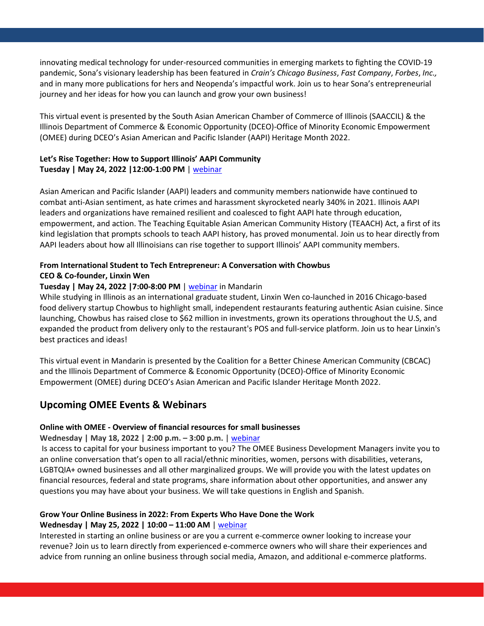innovating medical technology for under-resourced communities in emerging markets to fighting the COVID-19 pandemic, Sona's visionary leadership has been featured in *Crain's Chicago Business*, *Fast Company*, *Forbes*, *Inc.,* and in many more publications for hers and Neopenda's impactful work. Join us to hear Sona's entrepreneurial journey and her ideas for how you can launch and grow your own business!

This virtual event is presented by the South Asian American Chamber of Commerce of Illinois (SAACCIL) & the Illinois Department of Commerce & Economic Opportunity (DCEO)-Office of Minority Economic Empowerment (OMEE) during DCEO's Asian American and Pacific Islander (AAPI) Heritage Month 2022.

### **Let's Rise Together: How to Support Illinois' AAPI Community Tuesday | May 24, 2022 |12:00-1:00 PM** | [webinar](https://illinois.webex.com/illinois/j.php?RGID=r066b3840ff4c9e742dcf0424228059e0)

Asian American and Pacific Islander (AAPI) leaders and community members nationwide have continued to combat anti-Asian sentiment, as hate crimes and harassment skyrocketed nearly 340% in 2021. Illinois AAPI leaders and organizations have remained resilient and coalesced to fight AAPI hate through education, empowerment, and action. The Teaching Equitable Asian American Community History (TEAACH) Act, a first of its kind legislation that prompts schools to teach AAPI history, has proved monumental. Join us to hear directly from AAPI leaders about how all Illinoisians can rise together to support Illinois' AAPI community members.

### **From International Student to Tech Entrepreneur: A Conversation with Chowbus CEO & Co-founder, Linxin Wen**

### **Tuesday | May 24, 2022 |7:00-8:00 PM** [| webinar](https://us02web.zoom.us/meeting/register/tZwtceGqrTwrGdSxRuN2klHls1KU8i10iO35) in Mandarin

While studying in Illinois as an international graduate student, Linxin Wen co-launched in 2016 Chicago-based food delivery startup Chowbus to highlight small, independent restaurants featuring authentic Asian cuisine. Since launching, Chowbus has raised close to \$62 million in investments, grown its operations throughout the U.S, and expanded the product from delivery only to the restaurant's POS and full-service platform. Join us to hear Linxin's best practices and ideas!

This virtual event in Mandarin is presented by the Coalition for a Better Chinese American Community (CBCAC) and the Illinois Department of Commerce & Economic Opportunity (DCEO)-Office of Minority Economic Empowerment (OMEE) during DCEO's Asian American and Pacific Islander Heritage Month 2022.

### **Upcoming OMEE Events & Webinars**

### **Online with OMEE - Overview of financial resources for small businesses**

### **Wednesday | May 18, 2022 | 2:00 p.m. – 3:00 p.m.** [| webinar](https://illinois.webex.com/illinois/onstage/g.php?MTID=ea15cbe295f0edda5c81865e56107717c)

Is access to capital for your business important to you? The OMEE Business Development Managers invite you to an online conversation that's open to all racial/ethnic minorities, women, persons with disabilities, veterans, LGBTQIA+ owned businesses and all other marginalized groups. We will provide you with the latest updates on financial resources, federal and state programs, share information about other opportunities, and answer any questions you may have about your business. We will take questions in English and Spanish.

# **Grow Your Online Business in 2022: From Experts Who Have Done the Work**

### **Wednesday | May 25, 2022 | 10:00 – 11:00 AM** | [webinar](https://illinois.webex.com/mw3300/mywebex/default.do?nomenu=true&siteurl=illinois&service=6&rnd=0.727981696825778&main_url=https%3A%2F%2Fillinois.webex.com%2Fec3300%2Feventcenter%2Fevent%2FeventAction.do%3FtheAction%3Ddetail%26%26%26EMK%3D4832534b000000052d05da0cf229b0b58cab6453e3066ed1c659175dc581bab8fe37192f88f180ce%26siteurl%3Dillinois%26confViewID%3D225193471339700815%26encryptTicket%3DSDJTSwAAAAVDG4BtrpKyvjMVUJ3GeXgTOqZVm8EGr-CEx8LK-Zc04w2%26)  Interested in starting an online business or are you a current e-commerce owner looking to increase your

revenue? Join us to learn directly from experienced e-commerce owners who will share their experiences and advice from running an online business through social media, Amazon, and additional e-commerce platforms.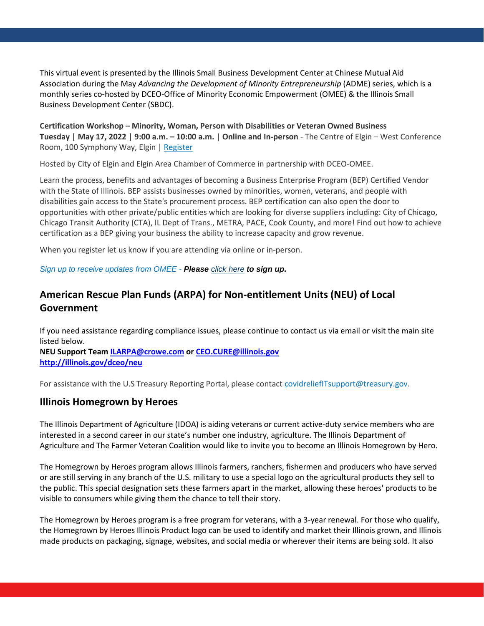This virtual event is presented by the Illinois Small Business Development Center at Chinese Mutual Aid Association during the May *Advancing the Development of Minority Entrepreneurship* (ADME) series, which is a monthly series co-hosted by DCEO-Office of Minority Economic Empowerment (OMEE) & the Illinois Small Business Development Center (SBDC).

**Certification Workshop – Minority, Woman, Person with Disabilities or Veteran Owned Business Tuesday | May 17, 2022 | 9:00 a.m. – 10:00 a.m.** | **Online and In-person** - The Centre of Elgin – West Conference Room, 100 Symphony Way, Elgin | [Register](https://illinois.webex.com/mw3300/mywebex/default.do?nomenu=true&siteurl=illinois&service=6&rnd=0.7096705812889251&main_url=https://illinois.webex.com/ec3300/eventcenter/event/eventAction.do?theAction%3Ddetail%26%26%26EMK%3D4832534b000000059556d699b3bfe8e6f491e21bd4b7b56ae842b077a6ba92e911d2a7f4cede679d%26siteurl%3Dillinois%26confViewID%3D225843177410568409%26encryptTicket%3DSDJTSwAAAAUk75B49t2RTQYgmVJ2t98ipBW8CLBSSSFi8tTMUDGgDg2%26) 

Hosted by City of Elgin and Elgin Area Chamber of Commerce in partnership with DCEO-OMEE.

Learn the process, benefits and advantages of becoming a Business Enterprise Program (BEP) Certified Vendor with the State of Illinois. BEP assists businesses owned by minorities, women, veterans, and people with disabilities gain access to the State's procurement process. BEP certification can also open the door to opportunities with other private/public entities which are looking for diverse suppliers including: City of Chicago, Chicago Transit Authority (CTA), IL Dept of Trans., METRA, PACE, Cook County, and more! Find out how to achieve certification as a BEP giving your business the ability to increase capacity and grow revenue.

When you register let us know if you are attending via online or in-person.

*Sign up to receive updates from OMEE - Please [click here](https://app.smartsheet.com/b/form/ae5c8502c75f4b0ead8e9542aeb7d543) to sign up.*

# **American Rescue Plan Funds (ARPA) for Non-entitlement Units (NEU) of Local Government**

If you need assistance regarding compliance issues, please continue to contact us via email or visit the main site listed below.

**NEU Support Team [ILARPA@crowe.com](mailto:ILARPA@crowe.com) or [CEO.CURE@illinois.gov](mailto:CEO.CURE@illinois.gov)  <http://illinois.gov/dceo/neu>**

For assistance with the U.S Treasury Reporting Portal, please contact [covidreliefITsupport@treasury.gov.](mailto:covidreliefITsupport@treasury.gov)

## **Illinois Homegrown by Heroes**

The Illinois Department of Agriculture (IDOA) is aiding veterans or current active-duty service members who are interested in a second career in our state's number one industry, agriculture. The Illinois Department of Agriculture and The Farmer Veteran Coalition would like to invite you to become an Illinois Homegrown by Hero.

The Homegrown by Heroes program allows Illinois farmers, ranchers, fishermen and producers who have served or are still serving in any branch of the U.S. military to use a special logo on the agricultural products they sell to the public. This special designation sets these farmers apart in the market, allowing these heroes' products to be visible to consumers while giving them the chance to tell their story.

The Homegrown by Heroes program is a free program for veterans, with a 3-year renewal. For those who qualify, the Homegrown by Heroes Illinois Product logo can be used to identify and market their Illinois grown, and Illinois made products on packaging, signage, websites, and social media or wherever their items are being sold. It also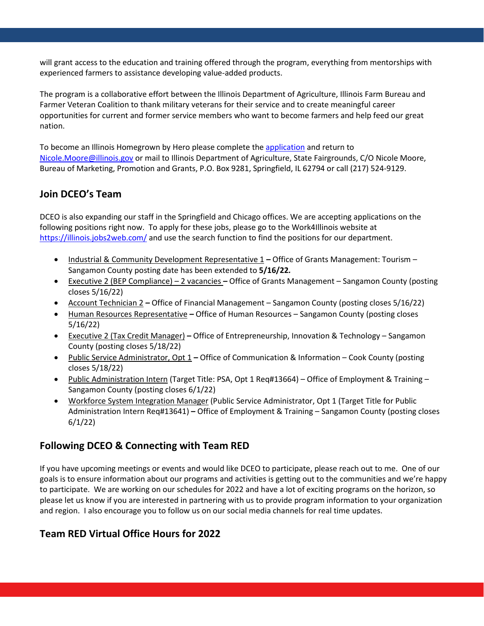will grant access to the education and training offered through the program, everything from mentorships with experienced farmers to assistance developing value-added products.

The program is a collaborative effort between the Illinois Department of Agriculture, Illinois Farm Bureau and Farmer Veteran Coalition to thank military veterans for their service and to create meaningful career opportunities for current and former service members who want to become farmers and help feed our great nation.

To become an Illinois Homegrown by Hero please complete the [application](http://secure-web.cisco.com/1mOIeYvfoxQcYyUECp_P5EWOvkdR-NAZiIhb6bC2dqG4chopxt2o8P6654AFhx1PYQC31YReH4oQaiIM4kCpaM0C5DEpqmi_29AXzqwWryh6JeAg8cI8ggM0UdrX7LTBluXIUOggn3GZZV8dqRzYvlA_TauXkB800Cs6Ke9OLgR6y54yqtyEghiXFb3H-rG9ruQVr55ReBiNEGX-klbdG6FtNy-d7HphJfY_SOPvL6MPSrBF6fln4ZSjQY_s78xfYLz_ExAaps23_Os6yF_7K3zoMiQ_SB6o5uJjP5-5LFX_rlvAPFcrlKxQH5SYSABcoRua9TCO6a15B11U-sdd2pe_KXaNGJqkboCrKfWCTk1yL69LiAbWWq1qCQfeWeHjbJI3Yaax2LL1u6UraMsKhjw/http%3A%2F%2Fwww.mmsend38.com%2Flink.cfm%3Fr%3DouRC5QRYfX62Adp7EaIXlQ%7E%7E%26pe%3DziOrNJBp1ylt9_eq-5l2b-3i4ymYSENM5bN22ZpTAOixPbiYNSfD-tn6h03A3lIiEIEDpYCf2zYO5hBglxyd4g%7E%7E%26t%3D7oW1Vcb5EII8t2x2FjDlIA%7E%7E) and return to [Nicole.Moore@illinois.gov](mailto:Nicole.Moore@illinois.gov) or mail to Illinois Department of Agriculture, State Fairgrounds, C/O Nicole Moore, Bureau of Marketing, Promotion and Grants, P.O. Box 9281, Springfield, IL 62794 or call (217) 524-9129.

## **Join DCEO's Team**

DCEO is also expanding our staff in the Springfield and Chicago offices. We are accepting applications on the following positions right now. To apply for these jobs, please go to the Work4Illinois website at <https://illinois.jobs2web.com/> and use the search function to find the positions for our department.

- Industrial & Community Development Representative 1Office of Grants Management: Tourism Sangamon County posting date has been extended to **5/16/22***.*
- Executive 2 (BEP Compliance) 2 vacanciesOffice of Grants Management Sangamon County (posting closes 5/16/22)
- Account Technician 2Office of Financial Management Sangamon County (posting closes 5/16/22)
- Human Resources RepresentativeOffice of Human Resources Sangamon County (posting closes 5/16/22)
- Executive 2 (Tax Credit Manager) **–** Office of Entrepreneurship, Innovation & Technology Sangamon County (posting closes 5/18/22)
- Public Service Administrator, Opt 1 **–** Office of Communication & Information Cook County (posting closes 5/18/22)
- Public Administration Intern (Target Title: PSA, Opt 1 Req#13664) Office of Employment & Training Sangamon County (posting closes 6/1/22)
- Workforce System Integration Manager (Public Service Administrator, Opt 1 (Target Title for Public Administration Intern Req#13641) **–** Office of Employment & Training – Sangamon County (posting closes 6/1/22)

## **Following DCEO & Connecting with Team RED**

If you have upcoming meetings or events and would like DCEO to participate, please reach out to me. One of our goals is to ensure information about our programs and activities is getting out to the communities and we're happy to participate. We are working on our schedules for 2022 and have a lot of exciting programs on the horizon, so please let us know if you are interested in partnering with us to provide program information to your organization and region. I also encourage you to follow us on our social media channels for real time updates.

# **Team RED Virtual Office Hours for 2022**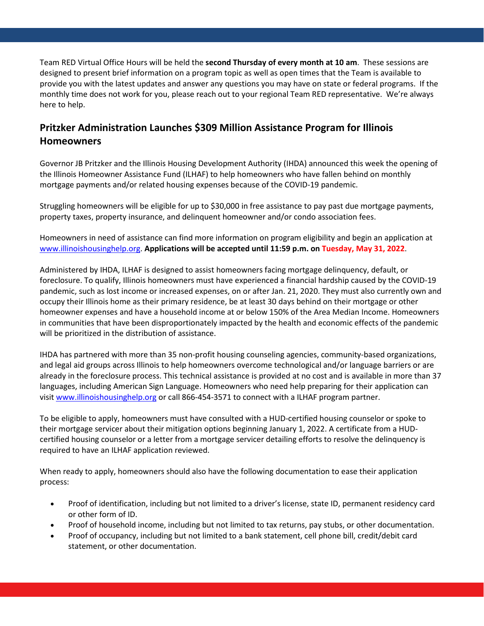Team RED Virtual Office Hours will be held the **second Thursday of every month at 10 am**. These sessions are designed to present brief information on a program topic as well as open times that the Team is available to provide you with the latest updates and answer any questions you may have on state or federal programs. If the monthly time does not work for you, please reach out to your regional Team RED representative. We're always here to help.

## **Pritzker Administration Launches \$309 Million Assistance Program for Illinois Homeowners**

Governor JB Pritzker and the Illinois Housing Development Authority (IHDA) announced this week the opening of the Illinois Homeowner Assistance Fund (ILHAF) to help homeowners who have fallen behind on monthly mortgage payments and/or related housing expenses because of the COVID-19 pandemic.

Struggling homeowners will be eligible for up to \$30,000 in free assistance to pay past due mortgage payments, property taxes, property insurance, and delinquent homeowner and/or condo association fees.

Homeowners in need of assistance can find more information on program eligibility and begin an application at [www.illinoishousinghelp.org.](http://www.illinoishousinghelp.org/) **Applications will be accepted until 11:59 p.m. on Tuesday, May 31, 2022**.

Administered by IHDA, ILHAF is designed to assist homeowners facing mortgage delinquency, default, or foreclosure. To qualify, Illinois homeowners must have experienced a financial hardship caused by the COVID-19 pandemic, such as lost income or increased expenses, on or after Jan. 21, 2020. They must also currently own and occupy their Illinois home as their primary residence, be at least 30 days behind on their mortgage or other homeowner expenses and have a household income at or below 150% of the Area Median Income. Homeowners in communities that have been disproportionately impacted by the health and economic effects of the pandemic will be prioritized in the distribution of assistance.

IHDA has partnered with more than 35 non-profit housing counseling agencies, community-based organizations, and legal aid groups across Illinois to help homeowners overcome technological and/or language barriers or are already in the foreclosure process. This technical assistance is provided at no cost and is available in more than 37 languages, including American Sign Language. Homeowners who need help preparing for their application can visit [www.illinoishousinghelp.org](http://www.illinoishousinghelp.org/) or call 866-454-3571 to connect with a ILHAF program partner.

To be eligible to apply, homeowners must have consulted with a HUD-certified housing counselor or spoke to their mortgage servicer about their mitigation options beginning January 1, 2022. A certificate from a HUDcertified housing counselor or a letter from a mortgage servicer detailing efforts to resolve the delinquency is required to have an ILHAF application reviewed.

When ready to apply, homeowners should also have the following documentation to ease their application process:

- Proof of identification, including but not limited to a driver's license, state ID, permanent residency card or other form of ID.
- Proof of household income, including but not limited to tax returns, pay stubs, or other documentation.
- Proof of occupancy, including but not limited to a bank statement, cell phone bill, credit/debit card statement, or other documentation.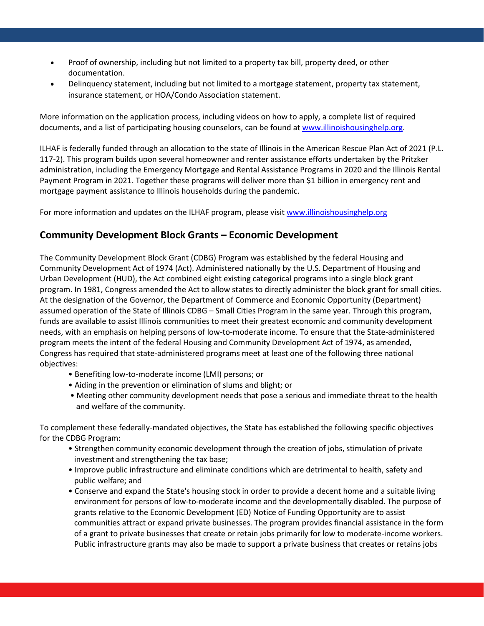- Proof of ownership, including but not limited to a property tax bill, property deed, or other documentation.
- Delinquency statement, including but not limited to a mortgage statement, property tax statement, insurance statement, or HOA/Condo Association statement.

More information on the application process, including videos on how to apply, a complete list of required documents, and a list of participating housing counselors, can be found at [www.illinoishousinghelp.org.](http://www.illinoishousinghelp.org/)

ILHAF is federally funded through an allocation to the state of Illinois in the American Rescue Plan Act of 2021 (P.L. 117-2). This program builds upon several homeowner and renter assistance efforts undertaken by the Pritzker administration, including the Emergency Mortgage and Rental Assistance Programs in 2020 and the Illinois Rental Payment Program in 2021. Together these programs will deliver more than \$1 billion in emergency rent and mortgage payment assistance to Illinois households during the pandemic.

For more information and updates on the ILHAF program, please visi[t www.illinoishousinghelp.org](http://www.illinoishousinghelp.org/)

## **Community Development Block Grants – Economic Development**

The Community Development Block Grant (CDBG) Program was established by the federal Housing and Community Development Act of 1974 (Act). Administered nationally by the U.S. Department of Housing and Urban Development (HUD), the Act combined eight existing categorical programs into a single block grant program. In 1981, Congress amended the Act to allow states to directly administer the block grant for small cities. At the designation of the Governor, the Department of Commerce and Economic Opportunity (Department) assumed operation of the State of Illinois CDBG – Small Cities Program in the same year. Through this program, funds are available to assist Illinois communities to meet their greatest economic and community development needs, with an emphasis on helping persons of low-to-moderate income. To ensure that the State-administered program meets the intent of the federal Housing and Community Development Act of 1974, as amended, Congress has required that state-administered programs meet at least one of the following three national objectives:

- Benefiting low-to-moderate income (LMI) persons; or
- Aiding in the prevention or elimination of slums and blight; or
- Meeting other community development needs that pose a serious and immediate threat to the health and welfare of the community.

To complement these federally-mandated objectives, the State has established the following specific objectives for the CDBG Program:

- Strengthen community economic development through the creation of jobs, stimulation of private investment and strengthening the tax base;
- Improve public infrastructure and eliminate conditions which are detrimental to health, safety and public welfare; and
- Conserve and expand the State's housing stock in order to provide a decent home and a suitable living environment for persons of low-to-moderate income and the developmentally disabled. The purpose of grants relative to the Economic Development (ED) Notice of Funding Opportunity are to assist communities attract or expand private businesses. The program provides financial assistance in the form of a grant to private businesses that create or retain jobs primarily for low to moderate-income workers. Public infrastructure grants may also be made to support a private business that creates or retains jobs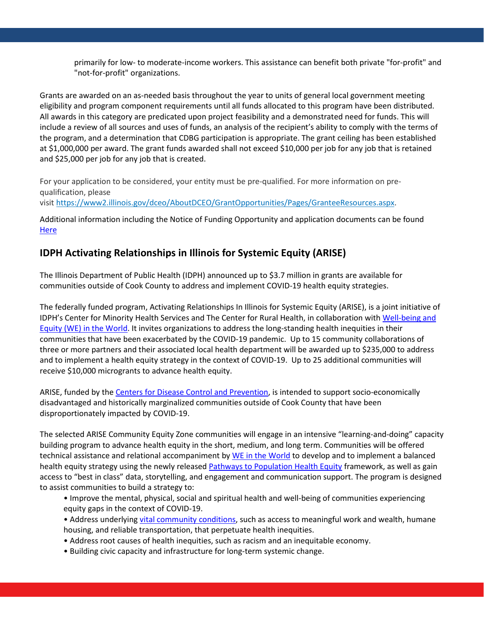primarily for low- to moderate-income workers. This assistance can benefit both private "for-profit" and "not-for-profit" organizations.

Grants are awarded on an as-needed basis throughout the year to units of general local government meeting eligibility and program component requirements until all funds allocated to this program have been distributed. All awards in this category are predicated upon project feasibility and a demonstrated need for funds. This will include a review of all sources and uses of funds, an analysis of the recipient's ability to comply with the terms of the program, and a determination that CDBG participation is appropriate. The grant ceiling has been established at \$1,000,000 per award. The grant funds awarded shall not exceed \$10,000 per job for any job that is retained and \$25,000 per job for any job that is created.

For your application to be considered, your entity must be pre-qualified. For more information on prequalification, please visit [https://www2.illinois.gov/dceo/AboutDCEO/GrantOpportunities/Pages/GranteeResources.aspx.](https://www2.illinois.gov/dceo/AboutDCEO/GrantOpportunities/Pages/GranteeResources.aspx)

Additional information including the Notice of Funding Opportunity and application documents can be found **[Here](https://www2.illinois.gov/dceo/AboutDCEO/GrantOpportunities/Pages/1631-2007.aspx)** 

## **IDPH Activating Relationships in Illinois for Systemic Equity (ARISE)**

The Illinois Department of Public Health (IDPH) announced up to \$3.7 million in grants are available for communities outside of Cook County to address and implement COVID-19 health equity strategies.

The federally funded program, Activating Relationships In Illinois for Systemic Equity (ARISE), is a joint initiative of IDPH's Center for Minority Health Services and The Center for Rural Health, in collaboration with [Well-being and](https://www.weintheworld.org/)  [Equity \(WE\) in the World.](https://www.weintheworld.org/) It invites organizations to address the long-standing health inequities in their communities that have been exacerbated by the COVID-19 pandemic. Up to 15 community collaborations of three or more partners and their associated local health department will be awarded up to \$235,000 to address and to implement a health equity strategy in the context of COVID-19. Up to 25 additional communities will receive \$10,000 microgrants to advance health equity.

ARISE, funded by the [Centers for Disease Control and Prevention,](https://www.cdc.gov/) is intended to support socio-economically disadvantaged and historically marginalized communities outside of Cook County that have been disproportionately impacted by COVID-19.

The selected ARISE Community Equity Zone communities will engage in an intensive "learning-and-doing" capacity building program to advance health equity in the short, medium, and long term. Communities will be offered technical assistance and relational accompaniment by [WE in the World](https://www.weintheworld.org/) to develop and to implement a balanced health equity strategy using the newly released [Pathways to Population Health Equity](https://www.publichealthequity.org/) framework, as well as gain access to "best in class" data, storytelling, and engagement and communication support. The program is designed to assist communities to build a strategy to:

- Improve the mental, physical, social and spiritual health and well-being of communities experiencing equity gaps in the context of COVID-19.
- Address underlying [vital community conditions,](https://winnetwork.org/vital-conditions) such as access to meaningful work and wealth, humane housing, and reliable transportation, that perpetuate health inequities.
- Address root causes of health inequities, such as racism and an inequitable economy.
- Building civic capacity and infrastructure for long-term systemic change.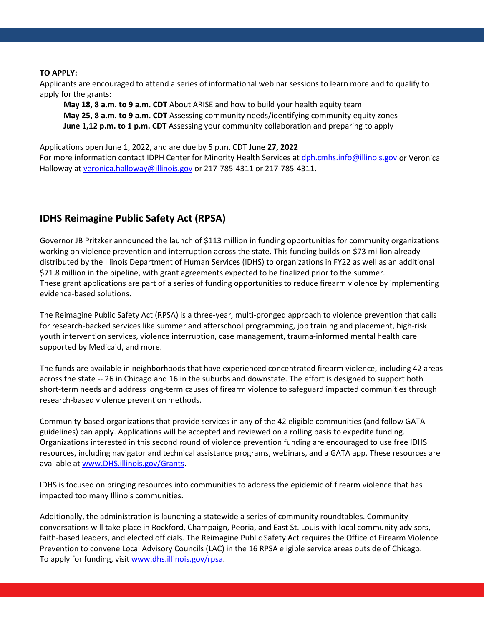### **TO APPLY:**

Applicants are encouraged to attend a series of informational webinar sessions to learn more and to qualify to apply for the grants:

**May 18, 8 a.m. to 9 a.m. CDT** About ARISE and how to build your health equity team **May 25, 8 a.m. to 9 a.m. CDT** Assessing community needs/identifying community equity zones **June 1,12 p.m. to 1 p.m. CDT** Assessing your community collaboration and preparing to apply

Applications open June 1, 2022, and are due by 5 p.m. CDT **June 27, 2022**

For more information contact IDPH Center for Minority Health Services a[t dph.cmhs.info@illinois.gov](mailto:dph.cmhs.info@illinois.gov) or Veronica Halloway a[t veronica.halloway@illinois.gov](mailto:veronica.halloway@illinois.gov) or 217-785-4311 or 217-785-4311.

## **IDHS Reimagine Public Safety Act (RPSA)**

Governor JB Pritzker announced the launch of \$113 million in funding opportunities for community organizations working on violence prevention and interruption across the state. This funding builds on \$73 million already distributed by the Illinois Department of Human Services (IDHS) to organizations in FY22 as well as an additional \$71.8 million in the pipeline, with grant agreements expected to be finalized prior to the summer. These grant applications are part of a series of funding opportunities to reduce firearm violence by implementing evidence-based solutions.

The Reimagine Public Safety Act (RPSA) is a three-year, multi-pronged approach to violence prevention that calls for research-backed services like summer and afterschool programming, job training and placement, high-risk youth intervention services, violence interruption, case management, trauma-informed mental health care supported by Medicaid, and more.

The funds are available in neighborhoods that have experienced concentrated firearm violence, including 42 areas across the state -- 26 in Chicago and 16 in the suburbs and downstate. The effort is designed to support both short-term needs and address long-term causes of firearm violence to safeguard impacted communities through research-based violence prevention methods.

Community-based organizations that provide services in any of the 42 eligible communities (and follow GATA guidelines) can apply. Applications will be accepted and reviewed on a rolling basis to expedite funding. Organizations interested in this second round of violence prevention funding are encouraged to use free IDHS resources, including navigator and technical assistance programs, webinars, and a GATA app. These resources are available at [www.DHS.illinois.gov/Grants.](http://www.dhs.illinois.gov/Grants)

IDHS is focused on bringing resources into communities to address the epidemic of firearm violence that has impacted too many Illinois communities.

Additionally, the administration is launching a statewide a series of community roundtables. Community conversations will take place in Rockford, Champaign, Peoria, and East St. Louis with local community advisors, faith-based leaders, and elected officials. The Reimagine Public Safety Act requires the Office of Firearm Violence Prevention to convene Local Advisory Councils (LAC) in the 16 RPSA eligible service areas outside of Chicago. To apply for funding, visit [www.dhs.illinois.gov/rpsa.](http://www.dhs.illinois.gov/rpsa)